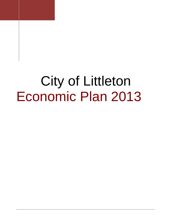# **City of Littleton** Economic Plan 2013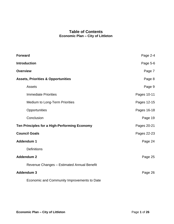## **Table of Contents Economic Plan – City of Littleton**

| <b>Forward</b>                                | Page 2-4    |
|-----------------------------------------------|-------------|
| <b>Introduction</b>                           | Page 5-6    |
| <b>Overview</b>                               | Page 7      |
| <b>Assets, Priorities &amp; Opportunities</b> | Page 8      |
| <b>Assets</b>                                 | Page 9      |
| <b>Immediate Priorities</b>                   | Pages 10-11 |
| Medium to Long-Term Priorities                | Pages 12-15 |
| Opportunities                                 | Pages 16-18 |
| Conclusion                                    | Page 19     |
| Ten Principles for a High-Performing Economy  | Pages 20-21 |
| <b>Council Goals</b>                          | Pages 22-23 |
| Addendum 1                                    | Page 24     |
| <b>Definitions</b>                            |             |
| <b>Addendum 2</b>                             | Page 25     |
| Revenue Changes - Estimated Annual Benefit    |             |
| <b>Addendum 3</b>                             | Page 26     |
| Economic and Community Improvements to Date   |             |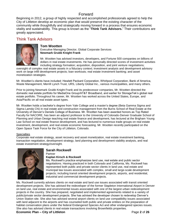## Forward

Beginning in 2012, a group of highly respected and accomplished professionals agreed to help the City of Littleton develop an economic plan that would preserve the existing character of the community while thoughtfully and strategically moving forward in a process that ensures economic vitality and sustainability. This group is known as the "**Think Tank Advisors.**" Their contributions are greatly appreciated.

# Think Tank Advisors



#### **Tom Wootten**

Executive Managing Director, Global Corporate Services **Newmark Grubb Knight Frank**

Mr. Wootten has advised investors, developers, and Fortune 500 companies on billions of dollars in real estate investments. He has personally directed scores of investment activities including strategy formation; acquisition, disposition, and joint venture negotiations;

oversight of complex real estate assets in a fiduciary context; investment analysis and development advisory work on large infill development projects; loan workouts; real estate investment banking; and asset monetization strategies.

Mr. Wootten's clients have included: Hewlett Packard Corporation, Whirlpool Corporation, Bank of America, Waste Management, Merrill Lynch Trust, URS, Liberty Global Inc., various municipalities, and many others.

Prior to joining Newmark Grubb Knight Frank and its predecessor companies, Mr. Wootten directed the domestic real estate portfolio for MediaOne Group/AT&T Broadband, and earlier for StorageTek's global real estate portfolio. Throughout his career, Mr. Wootten has worked across the United States, Europe, and Asia/Pacific on all real estate asset types.

Mr. Wootten holds a bachelor's degree from Yale College and a master's degree (Beta Gamma Sigma and Sigma Lamda Chi) in real estate and construction management from the Burns School of Real Estate at the University of Denver's Daniels College of Business. Mr. Wootten has been awarded honors as Top Rated Faculty for NACORE, has been an adjunct professor to the University of Colorado-Denver Graduate School of Planning and Urban Design teaching real estate finance and development, has lectured at the Brigham Young Law School on real estate finance development, and has lectured to numerous trade groups on real estate investment, development, and real estate economic forecasting. Mr. Wootten recently participated on the Open Space Task Force for the City of Littleton, Colorado.

#### **Specialties**

Corporate real estate strategy, asset recovery and asset monetization, real estate investment banking, transaction negotiation, development strategy, land planning and development viability analysis, and real estate investment strategy/oversight.



## **Sarah Rockwell**

#### Partner **Kaplan Kirsch & Rockwell**

Ms. Rockwell's practice emphasizes land use, real estate and public sector negotiations. Having practiced in both Colorado and California, Ms. Rockwell has represented both public and private sector clients in land use, real estate and municipal law issues associated with complex, small and large-scale development projects; including transit oriented development projects, airports, and residential, industrial and commercial development projects.

Ms. Rockwell currently advises clients on real estate and land use issues associated with transit oriented development projects. She has advised the redeveloper of the former Stapleton International Airport in Denver on land use, real estate and environmental issues associated with one of the largest urban redevelopment projects in the country. She has prepared, negotiated and implemented agreements related to a variety of public/private sector development projects. She has advised the developer chosen to redevelop Denver's Union Station site. She also has advised several airport clients on land use compatibility issues associated with land adjacent to the airports and has counseled both public and private entities on the preparation of habitat conservation plans under the federal Endangered Species Act and other endangered species issues. She also has advised clients in real estate transactions involving Brownfields properties.

**Economic Plan – City of Littleton Page 2** of 26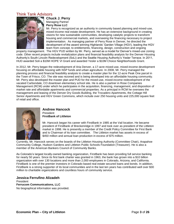## Think Tank Advisors



#### **Chuck J. Perry**  Managing Partner **Perry Rose LLC**

Mr. Perry is recognized as an authority in community based planning and mixed-use, mixed-income real estate development. He has an extensive background in creating visions for new sustainable communities, developing catalytic projects to transform housing and commercial markets, and overseeing the financing necessary to project implementation. As managing partner of Perry Rose in Denver, he directed the development of the award winning Highlands' Garden Village (HGV), leading the HGV team from concept, to entitlements, financing, design, construction and ongoing

property management. The HGV PUD written by Mr. Perry, served as a model for Denver's mixed-use zoning code. Other recent projects include revitalization plans and financial feasibility analysis for the Denver Housing Authority's South Lincoln Redevelopment (SoLi) and the Seattle Housing Authority's Yesler Terrace. In 2011, HUD awarded Soli a \$10M HOPE VI Grant and awarded Yesler a \$10M Choice Neighborhoods Grant.

In 2012, Mr. Perry began the redevelopment of Aria Denver, a 17-acre mixed-use, mixed-income development focusing on affordable housing with NSP funds and urban agriculture. In 2008, Mr. Perry managed the planning process and financial feasibility analysis to create a master plan for the 12-acre Peak One parcel in the Town of Frisco, CO. The site was rezoned and is being developed into an affordable housing community. Mr. Perry also developed the master plan and PUD for the mixed-use, mixed-income redevelopment of the vacated Carbondale, CO downtown elementary school site. He is also a partner in Rose Companies Management (RCM) under which he participates in the acquisition, financing, management, and disposition of market rate and affordable apartments and commercial properties. As a principal in RCM he oversees the management and leasing of the Denver Dry Goods Building, the Trocadero Apartments, the Cottage Hill Senior Apartments and HGV Green Commons, which include over 250 housing units and 225,000 square feet of retail and office.



#### **Andrew Hancock**  President **FirstBank of Littleton**

Mr. Hancock began his career with FirstBank in 1985 at the Vail location. He became president of FirstBank of Breckenridge in 1997 and took over as president of the Littleton market in 1998. He is presently a member of the Credit Policy Committee for First Bank and is Chairman of its loan committee. The Littleton market has assets in excess of \$450 million and annual loan production in excess of \$75 million.

Currently, Mr. Hancock serves on the boards of the Littleton Housing Authority (Committee Chair), Arapahoe Community College, Hudson Gardens and Littleton Public Schools Foundation (Treasurer). He is also a member of the American Bankers Council of Community Banks.

As Colorado's largest locally-owned banking organization, FirstBank has been providing full service banking for nearly 50 years. Since its first bank charter was granted in 1963, the bank has grown into a \$10 billion organization with over 130 locations and more than 2,000 employees in Colorado, Arizona, and California. FirstBank is one of the premier investors in Colorado based real estate secured loans and bonds. In addition, FirstBank is a strong supporter of its local communities and in the last ten years has contributed well over \$30 million to charitable organizations and countless hours of community service.

#### **Jessica Ferrufino Alizadeh**

President **Ferrucom Communications, LLC** No biographical information was provided.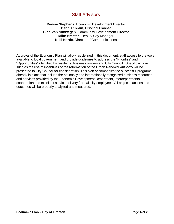# Staff Advisors

## **Denise Stephens**, Economic Development Director **Dennis Swain**, Principal Planner **Glen Van Nimwegen**, Community Development Director **Mike Braaten**, Deputy City Manager **Kelli Narde**, Director of Communications

Approval of the Economic Plan will allow, as defined in this document, staff access to the tools available to local government and provide guidelines to address the "Priorities" and "Opportunities" identified by residents, business owners and City Council. Specific actions such as the use of incentives or the reformation of the Urban Renewal Authority will be presented to City Council for consideration. This plan accompanies the successful programs already in place that include the nationally and internationally recognized business resources and services provided by the Economic Development Department, interdepartmental cooperation and excellent service delivery from all city employees. All projects, actions and outcomes will be properly analyzed and measured.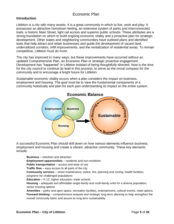# Economic Plan

## **Introduction**

Littleton is a city with many assets. It is a great community in which to live, work and play. It possesses an attractive hometown feeling, an extensive system of parks and interconnected trails, a historic Main Street, light rail access and superior public schools. These attributes are a strong foundation on which to build ongoing economic vitality and a proactive plan for strategic development. Other states and neighboring communities have outlined plans and identified tools that help attract and retain businesses and guide the development of vacant land, underutilized corridors, infill improvements, and the revitalization of residential areas. To remain competitive, Littleton must do more.

The city has improved in many ways, but these improvements have occurred without an updated Comprehensive Plan, an Economic Plan or strategic proactive engagement. Development has "happened" in Littleton instead of being thoughtfully directed. Now is the time for the city council to continue its lead in this process; to serve as the moral compass for the community and to encourage a bright future for Littleton.

Sustainable economic vitality occurs when a plan considers the impact on business, employment and housing. The goal must be to view the fundamental components of a community holistically and plan for each part understanding its impact on the entire system.



A successful Economic Plan should drill down on how various elements influence business, employment and housing and create a vibrant, attractive community. These key elements include:

**Business** – retention and attraction **Employment opportunities** – residents and non-residents **Public transportation** – access and ease of use **Traffic flow** – easy access to all parts of the city **Community services** – street maintenance, police, fire, planning and zoning, health facilities, programs for challenged populations **Education** – K-12, higher education, trade schools **Housing** – adequate and affordable single-family and multi-family units for a diverse population, senior housing options **Amenities** – parks and open space, recreation facilities, entertainment, cultural events, retail options **Forward thinking** – comprehensive analysis and strategic long-term planning to help strengthen the overall community fabric and assure its long term sustainability.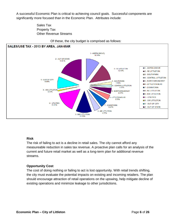A successful Economic Plan is critical to achieving council goals. Successful components are significantly more focused than in the Economic Plan. Attributes include:

> Sales Tax Property Tax Other Revenue Streams



#### Of these, the city budget is comprised as follows:

#### **Risk**

The risk of failing to act is a decline in retail sales. The city cannot afford any measureable reduction in sales tax revenue. A proactive plan calls for an analysis of the current and future retail market as well as a long-term plan for additional revenue streams.

## **Opportunity Cost**

The cost of doing nothing or failing to act is lost opportunity. With retail trends shifting, the city must evaluate the potential impacts on existing and incoming retailers. The plan should encourage attraction of retail operations on the upswing, help mitigate decline of existing operations and minimize leakage to other jurisdictions.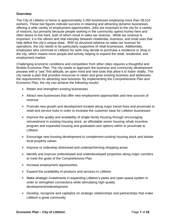## **Overview**

The City of Littleton is home to approximately 2,493 businesses employing more than 28,510 workers. These two figures indicate success in retaining and attracting dynamic businesses offering a wide variety of employment opportunities. Jobs are important to the city for a variety of reasons, but primarily because people working in the community spend money here and often desire to live here, both of which result in sales tax revenue. While tax revenue is important, it is the vibrant and vital interplay between residential, business, and retail uses that help define the city's unique draw. With its structural reliance on sales tax revenue for operations, the city needs to be particularly supportive of retail businesses. Additionally, employees who commute to Littleton for work may decide to purchase a residence or shop in the city, which means more people and activity helping to expand the retail, residential, and employment market.

Challenging economic conditions and competition from other cities requires a thoughtful and flexible Economic Plan. The city needs to approach the business and community development process with a "yes" first attitude, an open mind and new tools that allow it to foster vitality. The city needs a plan that provides resources to retain and grow existing business and addresses the requirements for attracting new business. By implementing the Comprehensive Plan and Economic Plan, the city can achieve the following results:

- $\triangleright$  Retain and strengthen existing businesses
- $\triangleright$  Attract new businesses that offer new employment opportunities and new sources of revenue
- $\triangleright$  Promote new growth and development located along major transit lines and proximate to retail and service hubs in order to increase the customer base for Littleton businesses
- $\triangleright$  Improve the quality and availability of single-family housing through encouraging reinvestment in existing housing stock, an affordable senior housing rehab incentive program and expanded housing and graduated care options within or proximate to **Littleton**
- $\triangleright$  Encourage new housing development to complement existing housing stock and bolster local property values
- $\triangleright$  Improve or redevelop distressed and underperforming shopping areas
- $\triangleright$  Identify and improve undeveloped and underdeveloped properties along major corridors to meet the goals of the Comprehensive Plan
- $\triangleright$  Increase employment opportunities
- $\triangleright$  Expand the availability of products and services in Littleton
- $\triangleright$  Make strategic investments in expanding Littleton's parks and open space system in order to strengthen connections while stimulating high-quality development/redevelopment
- $\triangleright$  Develop, recognize and capitalize on strategic relationships and partnerships that make Littleton a great community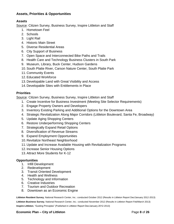## **Assets, Priorities & Opportunities**

## **Assets**

Source: Citizen Survey, Business Survey, Inspire Littleton and Staff

- 1. Hometown Feel
- 2. Schools
- 3. Light Rail
- 4. Historic Main Street
- 5. Diverse Residential Areas
- 6. City Support of Business
- 7. Open Space and Interconnected Bike Paths and Trails
- 8. Health Care and Technology Business Clusters in South Park
- 9. Museum, Library, Buck Center, Hudson Gardens
- 10. South Platte River, Carson Nature Center, South Platte Park
- 11. Community Events
- 12. Educated Workforce
- 13. Developable Land with Great Visibility and Access
- 14. Developable Sites with Entitlements in Place

## **Priorities**

Source: Citizen Survey, Business Survey, Inspire Littleton and Staff

- 1. Create Incentive for Business Investment (Meeting Site Selector Requirements)
- 2. Engage Property Owners and Developers
- 3. Inventory Existing Parking and Additional Options for the Downtown Area
- 4. Strategic Revitalization Along Major Corridors (Littleton Boulevard, Santa Fe, Broadway)
- 5. Update Aging Shopping Centers
- 6. Restore Underperforming Shopping Centers
- 7. Strategically Expand Retail Options
- 8. Diversification of Revenue Streams
- 9. Expand Employment Opportunities
- 10. Revitalize Northeast Neighborhood
- 11. Update and Increase Available Housing with Revitalization Programs
- 12. Increase Senior Housing Options
- 13. Attract More Students for K-12

## **Opportunities**

- 1. Infill Development
- 2. Redevelopment
- 3. Transit Oriented Development
- 4. Health and Wellness
- 5. Technology and Information
- 6. Creative Industries
- 7. Tourism and Outdoor Recreation
- 8. Downtown as an Economic Engine

**Littleton Resident Survey**, National Research Center, Inc.: conducted October 2012 (Results in Littleton Report Dec/January 2012-2013) **Littleton Business Survey**, National Research Center, Inc.: conducted November 2012 (Results in Littleton Report Feb/March 2013) **Inspire Littleton**, "Guiding Principles" (Published in Littleton Report Dec/January 2012-2013)

## **Economic Plan – City of Littleton Page 8** of 26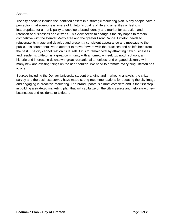## **Assets**

The city needs to include the identified assets in a strategic marketing plan. Many people have a perception that everyone is aware of Littleton's quality of life and amenities or feel it is inappropriate for a municipality to develop a brand identity and market for attraction and retention of businesses and citizens. This view needs to change if the city hopes to remain competitive with the Denver Metro area and the greater Front Range. Littleton needs to rejuvenate its image and develop and present a consistent appearance and message to the public. It is counterintuitive to attempt to move forward with the practices and beliefs held from the past. The city cannot rest on its laurels if it is to remain vital by attracting new businesses and residents. Littleton is a great community with a hometown feel, top notch schools, an historic and interesting downtown, great recreational amenities, and engaged citizenry with many new and exciting things on the near horizon. We need to promote everything Littleton has to offer.

Sources including the Denver University student branding and marketing analysis, the citizen survey and the business survey have made strong recommendations for updating the city image and engaging in proactive marketing. The brand update is almost complete and is the first step in building a strategic marketing plan that will capitalize on the city's assets and help attract new businesses and residents to Littleton.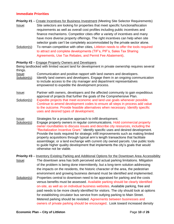## **Immediate Priorities**

- **Priority #1** Create Incentives for Business Investment (Meeting Site Selector Requirements)
- Issue: Site selectors are looking for properties that meet specific functional/location requirements as well as overall cost profiles including public incentives and finance mechanisms. Competitor cities offer a variety of incentives and many have more diverse property offerings. The right incentives can help when site selector goals can't be completely accommodated by the private sector alone.
- Solution(s): To remain competitive with other cities, Littleton needs to offer the tools required to attract and complete developments (TIF's, PIF's, Sales Tax Sharing Agreements, Use Tax Rebates, and Permit Fee Abatement).

#### **Priority #2** – Engage Property Owners and Developers

Being landlocked with limited vacant land for development in private ownership requires several things.

Issue: Communication and positive rapport with land owners and developers.

- Solution(s): Identify land owners and developers. Engage them in an ongoing communication to include access to the city manager and department representatives empowered to expedite the development process.
- Issue: Partner with owners, developers and the affected community to gain expeditious approval of projects that further the goals of the Comprehensive Plan.
- Solution(s): Expedite projects that meet economic and land use goals whenever possible. Continue to amend development codes to ensure all steps in process add value to the outcome. Provide feasible alternatives when necessary. Identify specific uses and desired types of development.

#### Issue: Strategies for a proactive approach to infill development.

Solution(s): Engage property owners in regular communications. Hold commercial property owner roundtables to discuss issues and describe city resources, including the "Revitalization Incentive Grant." Identify specific uses and desired development. Provide the tools required for strategic infill improvements such as making limited property acquisitions through typical arm's length transactions that facilitate assemblage; or a land exchange with current city owned parcels. Use public tools to guide higher quality development that implements the city's goals that would otherwise not be viable.

**Priority #3** – Inventory Existing Parking and Additional Options for the Downtown Area Accessibility Issue: The downtown area has both perceived and actual parking limitations. Mitigation of the problem is being done intermittently, but a long-term solution addressing the impacts on the residents, the historic character of the area, the pedestrian environment and growing business demand must be identified and implemented.

Solution(s): Properties central to downtown need to be appraised for parking and the costs versus benefits must be assessed. Available parking should be clearly identified on-site, as well as on individual business websites. Available parking, free and paid needs to be more clearly identified for visitors. The city should look at options for establishing circulator bus service from outlying parking to Main Street. Metered parking should be revisited. Agreements between businesses and owners of private parking should be encouraged. Look toward increased density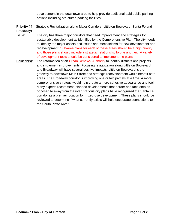development in the downtown area to help provide additional paid public parking options including structured parking facilities.

- **Priority #4** Strategic Revitalization along Major Corridors (Littleton Boulevard, Santa Fe and Broadway)
- Issue: The city has three major corridors that need improvement and strategies for sustainable development as identified by the Comprehensive Plan. The city needs to identify the major assets and issues and mechanisms for new development and redevelopment. Sub-area plans for each of these areas should be a high priority and those plans should include a strategic relationship to one another. A variety of development tools should be considered to implement the plans.
- Solution(s): The reformation of an Urban Renewal Authority to identify districts and projects and implement improvements. Focusing revitalization along Littleton Boulevard and Broadway will have several positive impacts. Littleton Boulevard is the gateway to downtown Main Street and strategic redevelopment would benefit both areas. The Broadway corridor is improving one or two parcels at a time. A more comprehensive strategy would help create a more cohesive appearance and feel. Many experts recommend planned developments that border and face onto as opposed to away from the river. Various city plans have recognized the Santa Fe corridor as a premier location for mixed-use development. These plans should be reviewed to determine if what currently exists will help encourage connections to the South Platte River.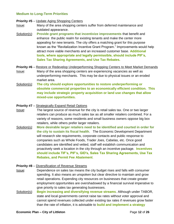## **Medium to Long-Term Priorities**

#### **Priority #5** – Update Aging Shopping Centers

- Issue: Many of the area shopping centers suffer from deferred maintenance and outdated appearance.
- Solution(s): **Provide grant programs that incentivize improvements** that benefit and enhance the public realm for existing tenants and make the center more appealing for new tenants. The city offers a matching grant for this purpose known as the "Revitalization Incentive Grant Program." Improvements would help attract more viable merchants and an increased customer base. **Additional tools, where appropriate and legally permissible, should include PIF's, Sales Tax Sharing Agreements, and Use Tax Rebates.**
- **Priority #6** Restore or Redevelop Underperforming Shopping Centers to Meet Market Demands Issue: Many of the area shopping centers are experiencing vacancies as well as underperforming merchants. This may be due to physical issues or an eroded market area.
- Solution(s): **The city should explore opportunities to restore underperforming or obsolete commercial properties to an economically efficient condition. This may include strategic property acquisition or land use changes that allow mixed-use opportunities.**

#### **Priority #7** – Strategically Expand Retail Options

- **Issue:** The largest source of revenue for the city is retail sales tax. One or two larger retailers can produce as much sales tax as all smaller retailers combined. For a variety of reasons, some residents and small business owners oppose big box retailers, while others prefer larger retailers.
- Solution(s): **More desirable larger retailers need to be identified and courted in order for the city to sustain its fiscal health**. The Economic Development Department will research site requirements, corporate contacts and public response to companies such as Whole Foods, Trader Joes, Cabelas, etc. Once good candidates are identified and vetted, staff will establish communication and proactively seek a location in the city through an incentive package. **Incentives should include TIF's, PIF's, GID's, Sales Tax Sharing Agreements, Use Tax Rebates, and Permit Fee Abatement**.

#### **Priority #8** – Diversification of Revenue Streams

- Issue: Dependence on sales tax means the city budget rises and falls with consumer spending. It also means an unspoken but clear directive to maintain and grow retail operations. Expending city resources on businesses that create greater employment opportunities are overshadowed by a financial survival imperative to give priority to sales tax generating businesses.
- Solution(s): **Begin increasing and diversifying revenue streams**. Although under TABOR, state and local governments cannot raise tax rates without voter approval and cannot spend revenues collected under existing tax rates if revenues grow faster than the rate of inflation, it is advisable to **build and implement a strategy**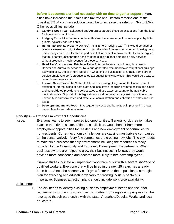#### **before it becomes a critical necessity with no time to gather support**. Many

cities have increased their sales use tax rate and Littleton remains one of the lowest at 3%. A common solution would be to increase the rate from 3% to 3.5%. Other possibilities include:

- 1. **Candy & Soda Tax** Lakewood and Aurora separated these as exceptions from the food for home consumption tax.
- 2. **Lodging Tax** Littleton does not have this tax. It is a low impact tax as it is paid by hotel guests, typically non-residents.
- 3. **Rental Tax** (Rental Property Owners) similar to a "lodging tax." This would be another revenue stream and might also help to curb the tide of non-owner occupied housing units. This money could be allocated in part or in full for capital improvements. It can be argued that multi-family units through density alone place a higher demand on city services without producing much revenue for those services.
- 4. **Head Tax/Occupational Privilege Tax** This has been a part of doing business in Denver and Aurora for decades. Revenue generated from head tax/occupational privilege tax would allow the city more latitude in what kind of businesses to attract. Some larger service employers don't produce sales tax but utilize city services. This would be a way to cover those service costs.
- 5. **Internet Sales Tax** The State of Colorado is looking at legislation that would permit taxation of Internet sales at both state and local levels, requiring remote sellers and single and consolidated providers to collect sales and use taxes pursuant to the applicable destination rate. Support of this legislation should be balanced against opposition to the uniformity in sales tax rates and state level administration and collection of sales and use taxes.
- 6. **Development Impact Fees** Investigate the costs and benefits of implementing growth impact fees for new development.

#### **Priority #9** – Expand Employment Opportunities

Issue: Everyone wants to see improved job opportunities. Generally, job creation takes place in the private sector. Littleton, as all cities, would benefit from more employment opportunities for residents and new employment opportunities for non-residents. Current economic challenges are causing most private companies to hire conservatively. Very few companies are creating new jobs. The city needs to maintain a business friendly environment including the resources already provided by the Community and Economic Development Departments. When business owners are helped to grow their businesses, it follows they would develop more confidence and become more likely to hire new employees.

> Current studies indicate an impending "workforce crisis" with a severe shortage of qualified workers. Everyone that will be hired in the next 25 years has already been born. Since the economy can't grow faster than the population, a strategic plan for attracting and educating workers for growing industry sectors is imperative. Business attraction plans should include workforce availability.

#### Solution(s):

1. The city needs to identify existing business employment needs and the labor requirements for the industries it wants to attract. Strategies and progress can be leveraged though partnership with the state, Arapahoe/Douglas Works and local educators.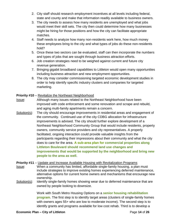- 2. City staff should research employment incentives at all levels including federal, state and county and make that information readily available to business owners.
- 3. The city needs to assess how many residents are unemployed and what jobs would meet their skill sets. The city then could determine how many businesses might be hiring for those positions and how the city can facilitate appropriate matches.
- 4. Staff needs to analyze how many non-residents work here, how much money these employees bring to the city and what types of jobs do these non-residents hold?
- 5. Once these two sectors can be evaluated, staff can then incorporate the numbers and types of jobs that are sought through business attraction efforts.
- 6. Job creation strategies need to be weighed against current and future city revenue generation.
- 7. Bringing gigabit broadband capabilities to Littleton would open many opportunities including business attraction and new employment opportunities.
- 8. The city may consider commissioning targeted economic development studies in order to help identify specific industry clusters and companies for targeted marketing.

## **Priority #10** – Revitalize the Northeast Neighborhood

- Issue: Although many issues related to the Northeast Neighborhood have been improved with code enforcement and some renovation and scrape and rebuild, and aging multi-family apartments remain a concern.
- Solution(s): The city should encourage improvements in residential areas and engagement of the community. Continued use of the city CDBG allocation for infrastructure improvements is advised. The city should further explore development of a Northeast Neighborhood Community Group that would include residents, property owners, community service providers and city representatives. A properly facilitated, ongoing interaction could provide valuable insights from the participants regarding their impressions about their community and what the city does to care for the area. **A sub-area plan for commercial properties along Littleton Boulevard should recommend land use changes and improvements that would be supported by the neighborhood and bring new people to the area as well**.

**Priority #11** – Update and Increase Available Housing with Revitalization Programs Issue: When a community has limited, affordable single-family housing, a plan must include strategies to improve existing homes experiencing deferred maintenance, alternative options for current home owners and mechanisms that encourage new ownership.

Solution(s): Identify single-family homes showing wear due to deferred maintenance that are owned by people looking to downsize.

> Work with South Metro Housing Options on a **senior housing rehabilitation program**. The first step is to identify target areas (clusters of single-family homes with owners ages 55+ who are low to moderate income). The second step is to identify grants and programs available for low cost rehab. Third is to develop a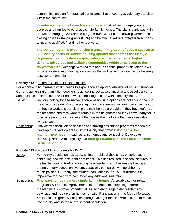communication plan for potential participants that encourages voluntary transition within the community.

**Introduce a first-time home buyers program** that will encourage younger couples and families to purchase single-family homes. The city is participating in the Metro Mortgage Assistance program (MMA) that offers down-payment and closing cost assistance grants (DPA) and below-market rate, 30-year fixed loans to income qualified, first-time homebuyers.

**The Denver region is experiencing a great in-migration of people ages 25 to 35. The city needs to provide housing options that address the lifestyle requirements of this demographic, who are often attracted to higher density, mixed-use and walkable communities within or adjacent to the downtown area.** Meetings with realtors and residential property developers will provide lifestyle and housing preferences that will be incorporated in the housing assessment and plan.

## **Priority #12** – Increase Senior Housing Options

For a community to remain vital it needs to experience an appropriate level of housing turnover. Current, aging single-family homeowners resist selling because of income and asset concerns and because seniors have few or no downsize housing options within the city limits.

- Issue: Seniors looking for alternative, affordable housing options are not finding them in the City of Littleton. Most people aging in place are not vacating because they do not have a workable transition plan, their homes are paid off, they have deferred maintenance and they want to remain in the neighborhood they know. Many fail to downsize prior to a critical event that forces them into another, less desirable living situation.
- Solution(s): Provide transition liaison services and moving assistance programs for seniors. Develop or redevelop areas within the city that provide **affordable, low maintenance housing** such as patio homes and cohousing. Develop or redevelop areas within the city that **offer graduated care and flexible financial participation**.

## **Priority #13** – Attract More Students for K-12

- Issue: As the city population has aged, Littleton Public Schools has experienced a continuing decline in student enrollment. This has resulted in school closures in the last few years. Part of attracting new residents and business is having a strong primary education system, especially compared with neighboring municipalities. Currently, the student population is 20% out of district. It is imperative for the city to help avoid any additional reduction.
- Solution(s): **Find ways to free up more single-family homes.** Affordable senior rehab programs will enable improvements to properties experiencing deferred maintenance, improve property values, and encourage older residents to downsize and free up their homes for sale. Participation in the Metro Mortgage Assistance program will help encourage younger families with children to move into the city and increase the student population.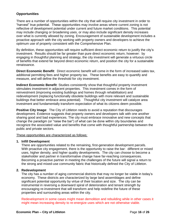## **Opportunities**

There are a number of opportunities within the city that will require city investment in order to "harvest" true potential. These opportunities may involve areas where current zoning is not reflective of development potential under current and future market conditions. This potential may include changing or broadening uses, or may also include significant density increases over what is currently allowed by zoning. Encouragement of sustainable development includes a proactive approach with the city working with property owners and developers to achieve the optimum use of property consistent with the Comprehensive Plan.

By definition, these opportunities will require sufficient direct economic return to justify the city's investment. Results should be far greater than pure direct economic return, however: by engaging in thoughtful planning and strategy, the city investment will generate a virtuous circle of benefits that extend far beyond direct economic return, and position the city for a sustainable renaissance.

**Direct Economic Benefit**: Direct economic benefit will come in the form of increased sales tax, additional permitting fees and higher property tax. These benefits are easy to quantify and measure, and will define the threshold for city investment.

**Indirect Economic Benefit**: Studies consistently show that thoughtful property investment stimulates investment in adjacent properties. This investment comes in the form of reinvestment (improving existing buildings and homes through rehabilitation) and redevelopment (replacing functionally obsolete buildings with more relevant and sustainable buildings that better embrace area potential). Thoughtful city investment will catalyze area investment and fundamentally transform expectation of what its citizens deem possible.

**Positive City Image**: The City of Littleton needs to avoid a reputation that discourages development. Evidence suggests that property owners and developers talk with one another sharing good and bad experiences. The city must embrace innovative and new concepts that change the paradigm (or "raise the bar") of what can be done within city boundaries and recognize the associated value and benefits that come with thoughtful partnership between the public and private sectors.

These opportunities are characterized as follows:

#### **1. Infill Development**

There are opportunities related to the remaining, first-generation development parcels. With proactive city engagement, there is the opportunity to raise the bar: different or mixed uses, higher density, and higher quality developments. The city can choose to become a stakeholder and partner in transformative change have far-reaching consequences. Becoming a proactive partner in meeting the challenges of the future will signal a return to the strong and mixed-use community fabric that historically defined the City of Littleton.

#### **2. Redevelopment**

The city has a number of aging commercial districts that may no longer be viable in today's economy. These districts are characterized by large land assemblages and define significant potential opportunity by virtue of their location and size. The city can be instrumental in reversing a downward spiral of deterioration and tenant strength by encouraging re-investment that will transform and help redefine the future of these properties and surrounding areas within the city.

Redevelopment in some cases might mean demolition and rebuilding while in other cases it might mean increasing density to re-energize uses which are not otherwise viable.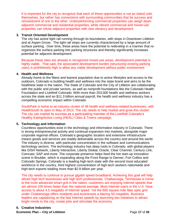It is important for the city to recognize that each of these opportunities is not an island unto themselves, but rather has connections with surrounding communities that tie success and reinvestment of one to the other. Underperforming commercial properties can weigh down adjacent commercial and residential properties, while vibrant commercial and mixed-use properties can infuse adjacent properties with new vibrancy and development.

## **3. Transit Oriented Development**

The city has active light rail running through its boundaries, with stops in Downtown Littleton and at Aspen Grove. The light rail stops are currently characterized by a large amount of surface parking. Over time, these areas have the potential to redevelop in a manner that reorganizes the surface parking into parking structures and thereby significantly increases potential for adjacent development.

Because these sites are already in recognized mixed-use areas, development potential is highly viable. That said, the associated development burden (structuring existing parking uses) is prohibitively high to allow any viable development without public involvement.

## **4. Health and Wellness**

Already home to the fittest and leanest population due to active lifestyles and access to the outdoors, Colorado is building health and wellness into the state brand and aims to be the healthiest state in the nation. The State of Colorado and the City of Littleton are collaborating with the public and private sectors, as well as nonprofit foundations like the Colorado Health Foundation and LiveWell Colorado. With more than 253,000 health and wellness workers across the state and an \$11.3 billion annual payroll, the health and wellness industry has a compelling economic impact within Colorado.

SouthPark is home to an industry cluster of 38 health and wellness-related businesses, with HealthSouth to open in May of 2013. The city needs to help market and grow this cluster. The city can market its success as a participating member of the LiveWell Colorado's Healthy Eating/Active Living (HEAL) Cities & Towns campaign.

## **5. Technology and Information**

Countless opportunities exist in the technology and information industry in Colorado. There is strong entrepreneurial activity and continual expansion into markets, alongside major corporate regional offices. Colorado's geographic location and extensive infrastructure means goods and services are readily deliverable across the country and around the world. The industry is diverse, with particular concentration in the software and communications technology sectors. The technology industry has deep roots in Colorado, with global players like DISH Network, Liberty Interactive, Liberty Global, Oracle, Clear Channel, Century Link, Comcast, SAP and more. The corporate presence helps feed the hot start-up innovation scene in Boulder, which is expanding along the Front Range to Denver, Fort Collins and Colorado Springs. Colorado is a leading high-tech state with the second most educated workforce in the country, third highest concentration of high-tech workers nationwide and high-tech exports totaling more than \$2.9 billion per year.

The city needs to continue to pursue gigabit speed broadband. Achieving this goal will help attract high tech businesses and high tech professionals. Chattanooga, Tennessee is home to the most advanced smart grid in the nation, customers are enjoying Internet speeds that are almost 100 times faster than the national average. Most Internet users in the U.S. have access to about 4.5 megabits of Internet speed. Yet the 600 square-mile fiber optic grid under Chattanooga offers residents and businesses a blazing 50 megabits. Business leaders are capitalizing on the fast Internet speeds by launching two initiatives to attract bright minds to the city, create jobs and stimulate the economy.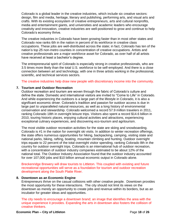Colorado is a global leader in the creative industries, which include six creative sectors: design, film and media, heritage, literary and publishing, performing arts, and visual arts and crafts. With its existing ecosystem of creative entrepreneurs, arts and cultural nonprofits, media and entertainment giants, and universities and academic leaders who encourage creativity and innovation, creative industries are well-positioned to grow and continue to help Colorado's economy thrive.

The creative industries in Colorado have been growing faster than in most other states and Colorado now ranks 6th in the nation in percent of its workforce in creative class occupations. These jobs are well-distributed across the state; in fact, Colorado has ten of the nation's top 25 non-metro counties in concentration of creative occupations. Artists and creative professionals are a major workforce asset for Colorado, as over half of all artists have received at least a bachelor's degree.

The entrepreneurial spirit of Colorado is especially strong in creative professionals, who are 3.5 times more likely than the total U.S. workforce to be self-employed. And there is a close connection between art and technology, with one in three artists working in the professional, scientific, and technical services sectors.

The creative industries help draw new people with discretionary income into the community.

#### **7. Tourism and Outdoor Recreation**

Outdoor recreation and tourism are woven through the fabric of Colorado's culture and define the state. Domestic and international visitors are invited to "Come to Life" in Colorado. And while experiencing the outdoors is a large part of the lifestyle in Colorado, it is also a significant economic driver. Colorado's tradition and passion for outdoor access is due in large part to unparalleled natural resources, as well as a long history of environmental conservation and stewardship. Colorado welcomed a record 57.9 million travelers in 2011, ranking Colorado 18th in overnight leisure trips. Visitors also spent a record \$14.6 billion in 2010, touring historic places, enjoying cultural activities and attractions, experiencing exceptional culinary experiences, and discovering eco-tourism and agritourism.

The most visible outdoor recreation activities for the state are skiing and snowboarding. Colorado is #1 in the nation for overnight ski visits. In addition to winter recreation offerings, the state offers numerous opportunities for hiking, backpacking, camping, visiting state and national parks, biking, rafting, boating, mountain climbing and hunting. Outdoor overnight trips equate to 22 percent of the total overnight visitor spending, ranking Colorado 8th in the country for outdoor overnight trips. Colorado is an international hub of outdoor recreation, with a concentration of outdoor industry companies estimated to be about 12% of the national total. The Outdoor Industry Association found that the outdoor industry accounted for over 107,000 jobs and \$10 billion annual economic output in Colorado alone.

Breckenridge Brewery will draw tourists to Littleton. This coupled with existing and future recreational opportunities will serve as a foundation for tourism and outdoor recreation development along the South Platte River.

#### **8. Downtown as an Economic Engine**

Entrepreneurs thrive on the casual collisions with other creative people. Downtown provides the most opportunity for these interactions. The city should not limit its views on the downtown as merely an opportunity to create jobs and revenue within its borders, but as an incubator for greater ideas and opportunities.

The city needs to encourage a downtown brand; an image that identifies the area with the unique experience it provides. Expanding the arts in downtown also fosters the collision of creative thinkers.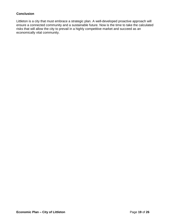## **Conclusion**

Littleton is a city that must embrace a strategic plan. A well-developed proactive approach will ensure a connected community and a sustainable future. Now is the time to take the calculated risks that will allow the city to prevail in a highly competitive market and succeed as an economically vital community.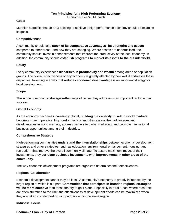#### **Goals**

Munnich suggests that an area seeking to achieve a high-performance economy should re-examine its goals.

#### **Competitiveness**

A community should take **stock of its comparative advantages--its strengths and assets** compared to other areas--and how they are changing. Where assets are underutilized, the community should invest in enhancements that improve the productivity of the local economy. In addition, the community should **establish programs to market its assets to the outside world**.

#### **Equity**

Every community experiences **disparities in productivity and wealth** among areas or population groups. The overall effectiveness of any economy is greatly affected by how well it addresses these disparities. Investing in a way that **reduces economic disadvantage** is an important strategy for local development.

#### **Scope**

The scope of economic strategies--the range of issues they address--is an important factor in their success.

#### **Global Economy**

As the economy becomes increasingly global, **building the capacity to sell to world markets** becomes more imperative. High-performing communities assess their advantages and disadvantages in world markets, address barriers to global marketing, and promote international business opportunities among their industries.

#### **Comprehensive Strategy**

High-performing communities **understand the interrelationships** between economic development strategies and other strategies--such as education, environmental enhancement, housing, and recreation--that improve the overall community climate. To assure maximum impact of their investments, they **correlate business investments with improvements in other areas of the community**.

The way economic development programs are organized determines their effectiveness.

#### **Regional Collaboration**

Economic development cannot truly be local. A community's economy is greatly influenced by the larger region of which it is a part. **Communities that participate in broader, regional strategies will be more effective** than those that try to go it alone. Especially in rural areas, where resources are often stretched to the limit, the effectiveness of development efforts can be maximized when they are taken in collaboration with partners within the same region.

#### **Industrial Focus**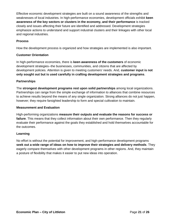Effective economic development strategies are built on a sound awareness of the strengths and weaknesses of local industries. In high-performance economies, development officials exhibit **keen awareness of the key sectors or clusters in the economy, and their performance** is tracked closely and issues affecting their future are identified and addressed. Development strategies emphasize actions to understand and support industrial clusters and their linkages with other local and regional industries.

## **Process**

How the development process is organized and how strategies are implemented is also important.

## **Customer Orientation**

In high-performance economies, there is **keen awareness of the customers** of economic development strategies--the businesses, communities, and citizens that are affected by development policies. Attention is given to meeting customers' needs. And, **customer input is not only sought out but is used carefully in crafting development strategies and programs**.

## **Partnerships**

The **strongest development programs rest upon solid partnerships** among local organizations. Partnerships can range from the simple exchange of information to alliances that combine resources to achieve results beyond the means of any single organization. Strong alliances do not just happen, however; they require farsighted leadership to form and special cultivation to maintain.

## **Measurement and Evaluation**

High-performing organizations **measure their outputs and evaluate the reasons for success or failure**. This means that they collect information about their own performance. Then they regularly evaluate their performance against the goals they established and hold themselves accountable for the outcomes.

## **Learning**

No effort is without the potential for improvement, and high-performance development programs **seek out a wide range of ideas on how to improve their strategies and delivery methods**. They eagerly compare themselves with other development programs in other regions. And, they maintain a posture of flexibility that makes it easier to put new ideas into operation.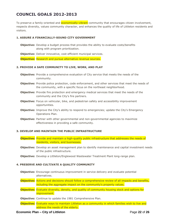# **COUNCIL GOALS 2012-2013**

To preserve a family-oriented and **economically-vibrant** community that encourages citizen involvement, respects diversity, values community character, and enhances the quality of life of Littleton residents and visitors.

#### **1. ASSURE A FINANCIALLY-SOUND CITY GOVERNMENT**

- **Objective:** Develop a budget process that provides the ability to evaluate costs/benefits along with program prioritization.
- **Objective:** Deliver innovative, cost-efficient municipal services.

**Objective:** Research and pursue alternative revenue sources.

#### **2. PROVIDE A SAFE COMMUNITY TO LIVE, WORK, AND PLAY**

- **Objective:** Provide a comprehensive evaluation of City service that meets the needs of the community.
- **Objective:** Provide police protection, code enforcement, and other services that meet the needs of the community, with a specific focus on the northeast neighborhood.
- **Objective:** Provide fire protection and emergency medical services that meet the needs of the community and the City's fire partners.
- **Objective:** Focus on vehicular, bike, and pedestrian safety and accessibility improvement opportunities.
- **Objective:** Improve the City's ability to respond to emergencies; update the City's Emergency Operations Plan.
- **Objective:** Partner with other governmental and non-governmental agencies to maximize effectiveness in providing a safe community.

#### **3. DEVELOP AND MAINTAIN THE PUBLIC INFRASTRUCTURE**

- **Objective:** Provide and maintain a high-quality public infrastructure that addresses the needs of residents, visitors, and businesses.
- **Objective:** Develop an asset management plan to identify maintenance and capital investment needs of the public infrastructure.
- **Objective:** Develop a Littleton/Englewood Wastewater Treatment Plant long-range plan.

#### **4. PRESERVE AND CULTIVATE A QUALITY COMMUNITY**

- **Objective:** Encourage continuous improvement in service delivery and evaluate potential alternatives.
- **Objective:** Actions and decisions should follow a comprehensive review of all impacts and benefits, including the aggregate impact on the community's property values.
- **Objective:** Evaluate diversity, density, and quality of community housing stock and options for improvement.
- **Objective:** Continue to update the 1981 Comprehensive Plan.
- **Objective:** Evaluate ways to maintain Littleton as a community in which families wish to live and address the needs of the elderly.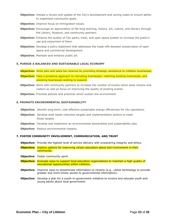- **Objective:** Initiate a review and update of the City's development and zoning codes to ensure ability to implement community goals.
- **Objective:** Improve focus on immigration issues.
- **Objective:** Encourage an appreciation of life-long learning, history, art, culture, and literacy through the Library, Museum, and community partners.
- **Objective:** Enhance the quality of City parks, trails, and open space system to increase the public's use and enjoyment of them.
- **Objective:** Develop a policy statement that addresses the trade-offs between preservation of open space and commercial development.
- **Objective:** Maintain and enhance public art.

#### **5. PURSUE A BALANCED AND SUSTAINABLE LOCAL ECONOMY**

**Objective:** Grow jobs and sales tax revenue by providing strategic assistance to Littleton businesses.

**Objective:** Take a proactive approach to recruiting businesses, retaining existing businesses, and assisting businesses wishing to expand.

- **Objective:** Work with community partners to increase the number of events which draw citizens and visitors as well as focus on improving the quality of existing events.
- **Objective:** Promote policies and practices which sustain the environment.

#### **6. PROMOTE ENVIRONMENTAL SUSTAINABILITY**

- **Objective:** Identify long-term, cost-effective sustainable energy efficiencies for city operations.
- **Objective:** Develop solid waste reduction targets and implementation actions to meet those targets.
- **Objective:** Develop and implement an environmental stewardship and sustainability plan.
- **Objective:** Reduce environmental impacts.

#### **7. FOSTER COMMUNITY INVOLVEMENT, COMMUNICATION, AND TRUST**

- **Objective:** Provide the highest level of service delivery with unwavering integrity and ethics.
- **Objective:** Explore options for improving citizen education about and involvement in their community.
- **Objective:** Foster community spirit.

**Objective:** Evaluate ways to support local education organizations to maintain a high quality of educational opportunities within Littleton.

- **Objective:** Improve ways to disseminate information to citizens (e.g., utilize technology to provide greater and more timely access to governmental information).
- **Objective:** Develop a plan for a youth-in-government initiative to involve and educate youth and young adults about local government.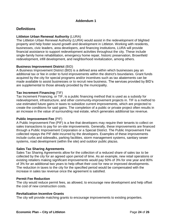## **Addendum 1**

## **Definitions**

#### **Littleton Urban Renewal Authority** (LURA)

The Littleton Urban Renewal Authority (LURA) would assist in the redevelopment of blighted property and help foster sound growth and development in Littleton. Working with residents, businesses, civic leaders, area developers, and financing institutions, LURA will provide financial assistance to support redevelopment activities throughout the city. These include single-family home rehabilitation, emergency home repair, historic preservation, Brownfield redevelopment, infill development, and neighborhood revitalization, among others.

## **Business Improvement District** (BID)

A Business Improvement District (BID) is a defined area within which businesses pay an additional tax or fee in order to fund improvements within the district's boundaries. Grant funds acquired by the city for special programs and/or incentives such as tax abatements can be made available to assist businesses or to recruit new business. The services provided by BID's are supplemental to those already provided by the municipality.

## **Tax Increment Financing** (TIF)

Tax Increment Financing, or TIF, is a public financing method that is used as a subsidy for redevelopment, infrastructure, and other community-improvement projects in. TIF is a method to use estimated future gains in taxes to subsidize current improvements, which are projected to create the conditions for said gains. The completion of a public or private project often results in an increase in the value of surrounding real estate, which generates additional tax revenue.

#### **Public Improvement Fee** (PIF)

A Public Improvement Fee (PIF) is a fee that developers may require their tenants to collect on sales transactions to pay for on-site improvements. Generally, these improvements are financed through a Public Improvement Corporation or a Special District. The Public Improvement Fee collected repays the PIF debt incurred by the developers. Examples of these improvements include curbs and sidewalks, parking facilities, storm management systems, sanitary sewer systems, road development (within the site) and outdoor public plazas.

#### **Sales Tax Sharing Agreements**

Sales Tax Sharing Agreements allow for the collection of a reduced share of sales tax to be collected by the city for an agreed upon period of time. As an example, new retail operations or existing retailers making significant improvements would pay 50% of 3% for one year and 80% of 3% for an additional two years to help offset their cost for new or improved developments. The reduction in taxes to the city for the specified period would be compensated with the increase in sales tax revenue once the agreement is satisfied.

#### **Permit Fee Reduction**

The city would reduce permit fees, as allowed, to encourage new development and help offset the cost of new construction costs.

#### **Revitalization Incentive Grants**

The city will provide matching grants to encourage improvements to existing properties.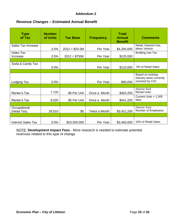## **Addendum 2**

## **Revenue Changes – Estimated Annual Benefit**

| <b>Type</b><br>of Tax      | <b>Number</b><br>of Units | <b>Tax Base</b> | <b>Frequency</b> | <b>Total</b><br><b>Annual</b><br><b>Benefit</b> | <b>Comments</b>                                                  |
|----------------------------|---------------------------|-----------------|------------------|-------------------------------------------------|------------------------------------------------------------------|
| Sales Tax Increase         | 3.5%                      | $2012 = $25.5M$ | Per Year         | \$4,200,000                                     | Retail, General Use,<br>Motor Vehicle                            |
| Sales Tax<br>Increase      | 3.5%                      | $2012 = $750K$  | Per Year         | \$125,000                                       | <b>Building Use Tax</b>                                          |
| Soda & Candy Tax           | 3.0%                      |                 | Per Year         | \$115,000                                       | .5% of Retail Sales                                              |
| Lodging Tax                | 3.0%                      |                 | Per Year         | \$90,000                                        | Based on existing<br>industry taxes currently<br>received by COL |
|                            |                           |                 |                  |                                                 |                                                                  |
| Renter's Tax               | 7,720                     | \$5 Per Unit    | Once a Month     | \$463,200                                       | (Source: Esri)<br><b>Rental Units</b>                            |
| Renter's Tax               | 9,020                     | \$5 Per Unit    | Once a Month     | \$541,200                                       | Current Units + 1,300<br><b>New</b>                              |
|                            |                           |                 |                  |                                                 |                                                                  |
| Occupational<br>(Head Tax) | 28,510                    | \$5             | Twice a Month    | \$3,421,200                                     | (Source: Esri)<br>Number of Employees                            |
|                            |                           |                 |                  |                                                 |                                                                  |
| <b>Internet Sales Tax</b>  | 3.0%                      | \$23,000,000    | Per Year         | \$3,450,000                                     | 15% of Retail Sales                                              |

NOTE: **Development Impact Fees** - More research is needed to estimate potential revenues related to this type of change.